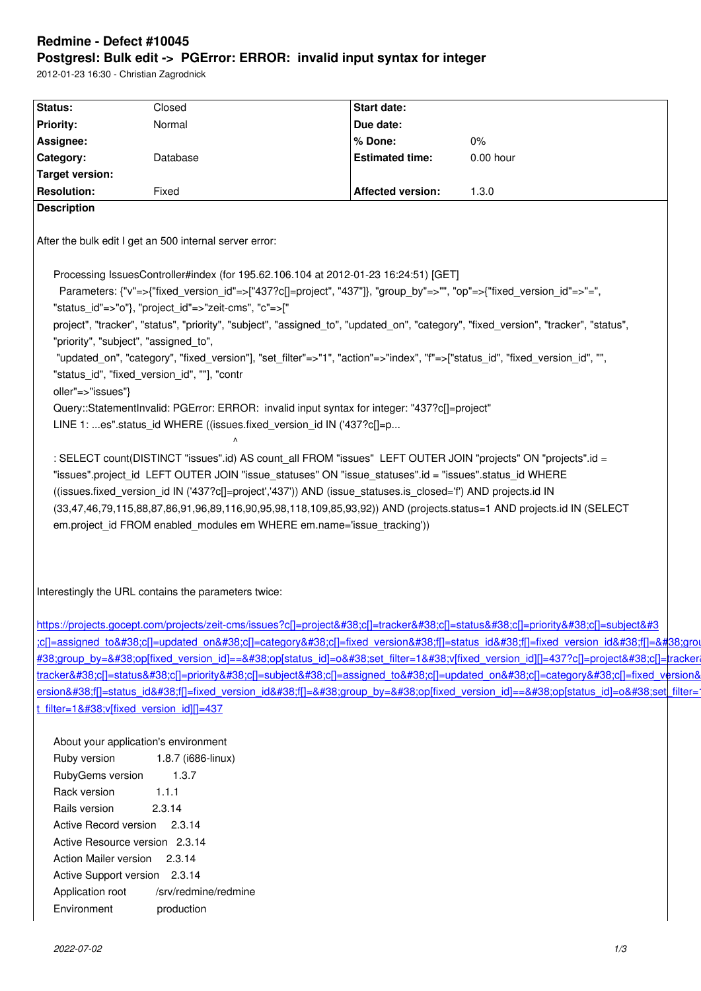#### **Postgresl: Bulk edit -> PGError: ERROR: invalid input syntax for integer**

2012-01-23 16:30 - Christian Zagrodnick

| <b>Priority:</b>                                                                                                                                                                               | Normal<br>Database                                      | Due date:<br>% Done:<br><b>Estimated time:</b>                                                                | 0%<br>0.00 hour                                                                                                                                                                                                                    |  |
|------------------------------------------------------------------------------------------------------------------------------------------------------------------------------------------------|---------------------------------------------------------|---------------------------------------------------------------------------------------------------------------|------------------------------------------------------------------------------------------------------------------------------------------------------------------------------------------------------------------------------------|--|
| Assignee:<br>Category:<br>Target version:<br><b>Resolution:</b>                                                                                                                                |                                                         |                                                                                                               |                                                                                                                                                                                                                                    |  |
|                                                                                                                                                                                                |                                                         |                                                                                                               |                                                                                                                                                                                                                                    |  |
|                                                                                                                                                                                                |                                                         |                                                                                                               |                                                                                                                                                                                                                                    |  |
|                                                                                                                                                                                                |                                                         |                                                                                                               |                                                                                                                                                                                                                                    |  |
|                                                                                                                                                                                                | Fixed                                                   | <b>Affected version:</b>                                                                                      | 1.3.0                                                                                                                                                                                                                              |  |
| <b>Description</b>                                                                                                                                                                             |                                                         |                                                                                                               |                                                                                                                                                                                                                                    |  |
|                                                                                                                                                                                                |                                                         |                                                                                                               |                                                                                                                                                                                                                                    |  |
|                                                                                                                                                                                                | After the bulk edit I get an 500 internal server error: |                                                                                                               |                                                                                                                                                                                                                                    |  |
|                                                                                                                                                                                                |                                                         | Processing IssuesController#index (for 195.62.106.104 at 2012-01-23 16:24:51) [GET]                           |                                                                                                                                                                                                                                    |  |
|                                                                                                                                                                                                |                                                         |                                                                                                               |                                                                                                                                                                                                                                    |  |
| Parameters: {"v"=>{"fixed_version_id"=>["437?c[]=project", "437"]}, "group_by"=>"", "op"=>{"fixed_version_id"=>"=",<br>"status_id"=>"o"},                "project_id"=>"zeit-cms", "c"=>["     |                                                         |                                                                                                               |                                                                                                                                                                                                                                    |  |
|                                                                                                                                                                                                |                                                         |                                                                                                               |                                                                                                                                                                                                                                    |  |
| project", "tracker", "status", "priority", "subject", "assigned_to", "updated_on", "category", "fixed_version", "tracker", "status",<br>"priority", "subject", "assigned_to",                  |                                                         |                                                                                                               |                                                                                                                                                                                                                                    |  |
|                                                                                                                                                                                                |                                                         |                                                                                                               | "updated_on", "category", "fixed_version"], "set_filter"=>"1", "action"=>"index", "f"=>["status_id", "fixed_version_id", "",                                                                                                       |  |
| "status_id", "fixed_version_id", ""], "contr                                                                                                                                                   |                                                         |                                                                                                               |                                                                                                                                                                                                                                    |  |
| oller"=>"issues"}                                                                                                                                                                              |                                                         |                                                                                                               |                                                                                                                                                                                                                                    |  |
| Query::StatementInvalid: PGError: ERROR: invalid input syntax for integer: "437?c[]=project"                                                                                                   |                                                         |                                                                                                               |                                                                                                                                                                                                                                    |  |
|                                                                                                                                                                                                |                                                         | LINE 1: es".status_id WHERE ((issues.fixed_version_id IN ('437?c[]=p                                          |                                                                                                                                                                                                                                    |  |
|                                                                                                                                                                                                |                                                         |                                                                                                               |                                                                                                                                                                                                                                    |  |
|                                                                                                                                                                                                |                                                         | "issues".project_id_LEFT OUTER JOIN "issue_statuses" ON "issue_statuses".id = "issues".status_id WHERE        | : SELECT count(DISTINCT "issues".id) AS count_all FROM "issues" LEFT OUTER JOIN "projects" ON "projects".id =                                                                                                                      |  |
|                                                                                                                                                                                                |                                                         | ((issues.fixed_version_id IN ('437?c[]=project','437')) AND (issue_statuses.is_closed='f') AND projects.id IN |                                                                                                                                                                                                                                    |  |
|                                                                                                                                                                                                |                                                         |                                                                                                               |                                                                                                                                                                                                                                    |  |
| (33,47,46,79,115,88,87,86,91,96,89,116,90,95,98,118,109,85,93,92)) AND (projects.status=1 AND projects.id IN (SELECT<br>em.project_id FROM enabled_modules em WHERE em.name='issue_tracking')) |                                                         |                                                                                                               |                                                                                                                                                                                                                                    |  |
|                                                                                                                                                                                                |                                                         |                                                                                                               |                                                                                                                                                                                                                                    |  |
|                                                                                                                                                                                                |                                                         |                                                                                                               |                                                                                                                                                                                                                                    |  |
|                                                                                                                                                                                                |                                                         |                                                                                                               |                                                                                                                                                                                                                                    |  |
|                                                                                                                                                                                                | Interestingly the URL contains the parameters twice:    |                                                                                                               |                                                                                                                                                                                                                                    |  |
|                                                                                                                                                                                                |                                                         |                                                                                                               |                                                                                                                                                                                                                                    |  |
| https://projects.gocept.com/projects/zeit-cms/issues?c[]=project&c[]=tracker&c[]=status&c[]=priority&c[]=subject                                                                              |                                                         |                                                                                                               |                                                                                                                                                                                                                                    |  |
|                                                                                                                                                                                                |                                                         |                                                                                                               |                                                                                                                                                                                                                                    |  |
|                                                                                                                                                                                                |                                                         |                                                                                                               | #38;group_by=&op[fixed_version_id]==&op[status_id]=o&set_filter=1&v[fixed_version_id][]=437?c[]=project&c[]=tracker&<br>tracker&c[]=status&c[]=priority&c[]=subject&c[]=assigned_to&c[]=updated_on&c[]=category&c[]=fixed_version& |  |
|                                                                                                                                                                                                |                                                         |                                                                                                               | ersion&f[]=status_id&f[]=fixed_version_id&f[]=&group_by=&op[fixed_version_id]==&op[status_id]=o&set filter=1                                                                                                                      |  |
| t_filter=1&v[fixed_version_id][]=437                                                                                                                                                           |                                                         |                                                                                                               |                                                                                                                                                                                                                                    |  |
|                                                                                                                                                                                                |                                                         |                                                                                                               |                                                                                                                                                                                                                                    |  |
| About your application's environment                                                                                                                                                           |                                                         |                                                                                                               |                                                                                                                                                                                                                                    |  |
| Ruby version                                                                                                                                                                                   | 1.8.7 (i686-linux)                                      |                                                                                                               |                                                                                                                                                                                                                                    |  |
| RubyGems version                                                                                                                                                                               | 1.3.7                                                   |                                                                                                               |                                                                                                                                                                                                                                    |  |
| Rack version                                                                                                                                                                                   | 1.1.1                                                   |                                                                                                               |                                                                                                                                                                                                                                    |  |
| Rails version                                                                                                                                                                                  | 2.3.14                                                  |                                                                                                               |                                                                                                                                                                                                                                    |  |
|                                                                                                                                                                                                | Active Record version 2.3.14                            |                                                                                                               |                                                                                                                                                                                                                                    |  |
|                                                                                                                                                                                                |                                                         |                                                                                                               |                                                                                                                                                                                                                                    |  |
| Active Resource version 2.3.14                                                                                                                                                                 |                                                         |                                                                                                               |                                                                                                                                                                                                                                    |  |
| Action Mailer version 2.3.14                                                                                                                                                                   |                                                         |                                                                                                               |                                                                                                                                                                                                                                    |  |
| Active Support version 2.3.14                                                                                                                                                                  |                                                         |                                                                                                               |                                                                                                                                                                                                                                    |  |
| Application root<br>Environment                                                                                                                                                                | /srv/redmine/redmine<br>production                      |                                                                                                               |                                                                                                                                                                                                                                    |  |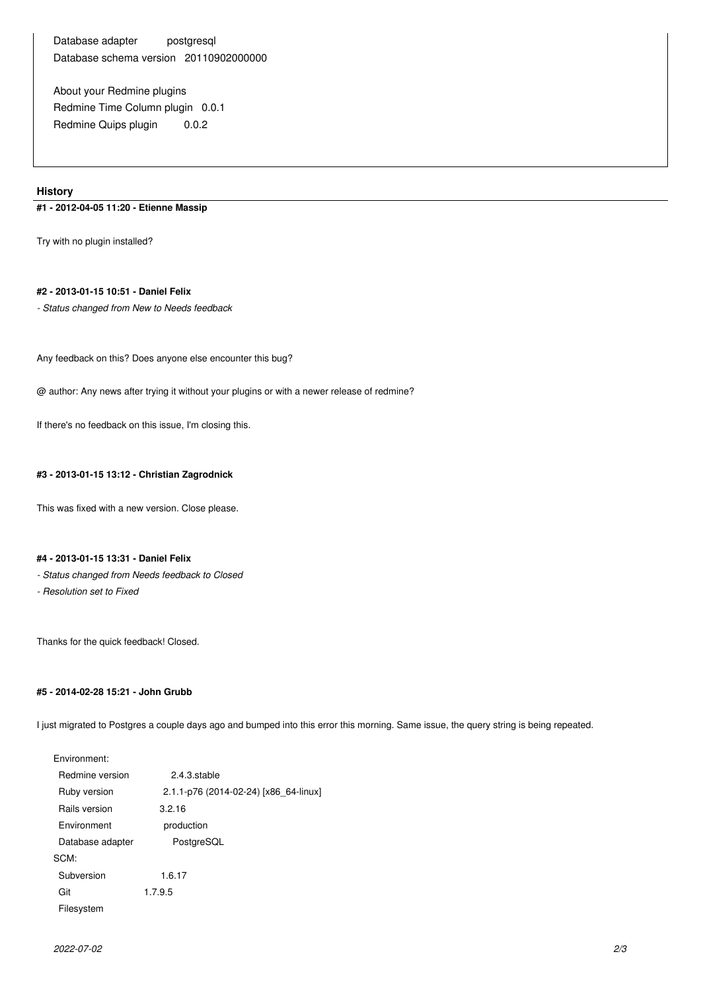Database adapter postgresql Database schema version 20110902000000

About your Redmine plugins Redmine Time Column plugin 0.0.1 Redmine Quips plugin 0.0.2

## **History**

### **#1 - 2012-04-05 11:20 - Etienne Massip**

Try with no plugin installed?

# **#2 - 2013-01-15 10:51 - Daniel Felix**

*- Status changed from New to Needs feedback*

Any feedback on this? Does anyone else encounter this bug?

@ author: Any news after trying it without your plugins or with a newer release of redmine?

If there's no feedback on this issue, I'm closing this.

## **#3 - 2013-01-15 13:12 - Christian Zagrodnick**

This was fixed with a new version. Close please.

## **#4 - 2013-01-15 13:31 - Daniel Felix**

- *Status changed from Needs feedback to Closed*
- *Resolution set to Fixed*

Thanks for the quick feedback! Closed.

## **#5 - 2014-02-28 15:21 - John Grubb**

I just migrated to Postgres a couple days ago and bumped into this error this morning. Same issue, the query string is being repeated.

| Fnvironment:     |                                       |
|------------------|---------------------------------------|
| Redmine version  | 2.4.3.stable                          |
| Ruby version     | 2.1.1-p76 (2014-02-24) [x86_64-linux] |
| Rails version    | 3.2.16                                |
| Environment      | production                            |
| Database adapter | PostgreSQL                            |
| SCM:             |                                       |
| Subversion       | 1.6.17                                |
| Git              | 1.7.9.5                               |
| Filesystem       |                                       |